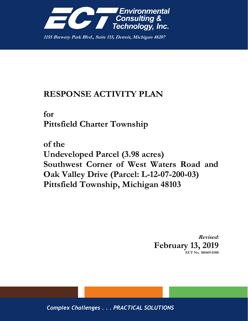

**1155 Brewery Park Blvd., Suite 115, Detroit, Michigan 48207**

## **RESPONSE ACTIVITY PLAN**

**for Pittsfield Charter Township**

**of the Undeveloped Parcel (3.98 acres) Southwest Corner of West Waters Road and Oak Valley Drive (Parcel: L-12-07-200-03) Pittsfield Township, Michigan 48103**

> **Revised: February 13, 2019 ECT No. 180469-0300**

*Complex Challenges . . . PRACTICAL SOLUTIONS*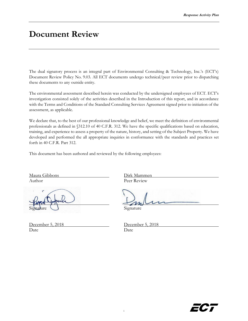## **Document Review**

The dual signatory process is an integral part of Environmental Consulting & Technology, Inc.'s (ECT's) Document Review Policy No. 9.03. All ECT documents undergo technical/peer review prior to dispatching these documents to any outside entity.

The environmental assessment described herein was conducted by the undersigned employees of ECT. ECT's investigation consisted solely of the activities described in the Introduction of this report, and in accordance with the Terms and Conditions of the Standard Consulting Services Agreement signed prior to initiation of the assessment, as applicable.

We declare that, to the best of our professional knowledge and belief, we meet the definition of environmental professionals as defined in §312.10 of 40 C.F.R. 312. We have the specific qualifications based on education, training, and experience to assess a property of the nature, history, and setting of the Subject Property. We have developed and performed the all appropriate inquiries in conformance with the standards and practices set forth in 40 C.F.R. Part 312.

This document has been authored and reviewed by the following employees:

Maura Gibbons Dirk Mammen Author Peer Review

December 5, 2018 Date Date

Signature

| December 5, 2018 |  |
|------------------|--|
| Date             |  |

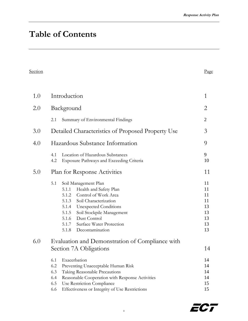# **Table of Contents**

| Section | $v_{\text{age}}$ |
|---------|------------------|
|         |                  |

| 1.0 | Introduction                                                                                                                                                                                                                                                                         |                                                    |  |
|-----|--------------------------------------------------------------------------------------------------------------------------------------------------------------------------------------------------------------------------------------------------------------------------------------|----------------------------------------------------|--|
| 2.0 | Background                                                                                                                                                                                                                                                                           | 2                                                  |  |
|     | Summary of Environmental Findings<br>2.1                                                                                                                                                                                                                                             | $\overline{2}$                                     |  |
| 3.0 | Detailed Characteristics of Proposed Property Use                                                                                                                                                                                                                                    |                                                    |  |
| 4.0 | Hazardous Substance Information                                                                                                                                                                                                                                                      |                                                    |  |
|     | Location of Hazardous Substances<br>4.1<br>4.2<br><b>Exposure Pathways and Exceeding Criteria</b>                                                                                                                                                                                    | 9<br>10                                            |  |
| 5.0 | Plan for Response Activities                                                                                                                                                                                                                                                         | 11                                                 |  |
|     | 5.1<br>Soil Management Plan<br>Health and Safety Plan<br>5.1.1<br>5.1.2 Control of Work Area<br>5.1.3 Soil Characterization<br>5.1.4 Unexpected Conditions<br>5.1.5<br>Soil Stockpile Management<br>5.1.6 Dust Control<br>5.1.7 Surface Water Protection<br>5.1.8<br>Decontamination | 11<br>11<br>11<br>11<br>13<br>13<br>13<br>13<br>13 |  |
| 6.0 | Evaluation and Demonstration of Compliance with<br>Section 7A Obligations                                                                                                                                                                                                            | 14                                                 |  |
|     | 6.1<br>Exacerbation<br>6.2<br>Preventing Unacceptable Human Risk<br>6.3<br>Taking Reasonable Precautions<br>6.4<br>Reasonable Cooperation with Response Activities<br>6.5<br>Use Restriction Compliance                                                                              | 14<br>14<br>14<br>14<br>15                         |  |

6.6 [Effectiveness or Integrity of Use Restrictions](#page-14-1) 15

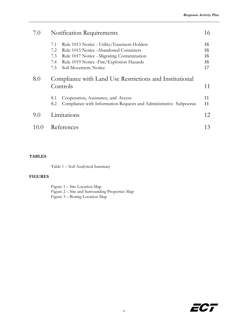| 7.0  | <b>Notification Requirements</b>                                                                                       | 16       |
|------|------------------------------------------------------------------------------------------------------------------------|----------|
|      | Rule 1013 Notice - Utility/Easement Holders<br>7.1                                                                     | 16       |
|      | Rule 1015 Notice - Abandoned Containers<br>7.2                                                                         | 16       |
|      | 7.3<br>Rule 1017 Notice - Migrating Contamination                                                                      | 16       |
|      | Rule 1019 Notice - Fire/Explosion Hazards<br>7.4                                                                       | 16       |
|      | 7.5<br>Soil Movement Notice                                                                                            | 17       |
| 8.0  | Compliance with Land Use Restrictions and Institutional<br>Controls                                                    |          |
|      | Cooperation, Assistance, and Access<br>8.1<br>Compliance with Information Requests and Administrative Subpoenas<br>8.2 | 11<br>11 |
| 9.0  | Limitations                                                                                                            | 12       |
| 10 0 | References                                                                                                             | 13       |

#### **TABLES**

Table 1 – Soil Analytical Summary

#### **FIGURES**

Figure 1 – Site Location Map Figure 2 – Site and Surrounding Properties Map Figure 3 – Boring Location Map

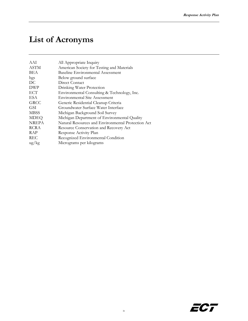# **List of Acronyms**

| AAI           | All Appropriate Inquiry                            |
|---------------|----------------------------------------------------|
| <b>ASTM</b>   | American Society for Testing and Materials         |
| BEA           | <b>Baseline Environmental Assessment</b>           |
| bgs           | Below ground surface                               |
| DC            | Direct Contact                                     |
| <b>DWP</b>    | Drinking Water Protection                          |
| <b>ECT</b>    | Environmental Consulting & Technology, Inc.        |
| ESA           | <b>Environmental Site Assessment</b>               |
| <b>GRCC</b>   | Generic Residential Cleanup Criteria               |
| GSI           | Groundwater Surface Water Interface                |
| <b>MBSS</b>   | Michigan Background Soil Survey                    |
| <b>MDEQ</b>   | Michigan Department of Environmental Quality       |
| <b>NREPA</b>  | Natural Resources and Environmental Protection Act |
| <b>RCRA</b>   | Resource Conservation and Recovery Act             |
| <b>RAP</b>    | Response Activity Plan                             |
| <b>REC</b>    | Recognized Environmental Condition                 |
| $\frac{u}{g}$ | Micrograms per kilograms                           |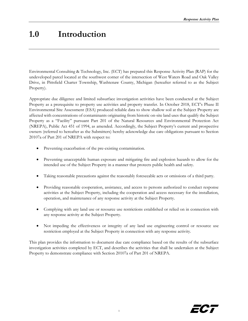## <span id="page-5-0"></span>**1.0 Introduction**

Environmental Consulting & Technology, Inc. (ECT) has prepared this Response Activity Plan (RAP) for the undeveloped parcel located at the southwest corner of the intersection of West Waters Road and Oak Valley Drive, in Pittsfield Charter Township, Washtenaw County, Michigan (hereafter referred to as the Subject Property).

Appropriate due diligence and limited subsurface investigation activities have been conducted at the Subject Property as a prerequisite to property use activities and property transfer. In October 2018, ECT's Phase II Environmental Site Assessment (ESA) produced reliable data to show shallow soil at the Subject Property are affected with concentrations of contaminants originating from historic on-site land uses that qualify the Subject Property as a "Facility" pursuant Part 201 of the Natural Resources and Environmental Protection Act (NREPA), Public Act 451 of 1994, as amended. Accordingly, the Subject Property's current and prospective owners (referred to hereafter as the Submitters) hereby acknowledge due care obligations pursuant to Section 20107a of Part 201 of NREPA with respect to:

- Preventing exacerbation of the pre-existing contamination.
- Preventing unacceptable human exposure and mitigating fire and explosion hazards to allow for the intended use of the Subject Property in a manner that protects public health and safety.
- Taking reasonable precautions against the reasonably foreseeable acts or omissions of a third party.
- Providing reasonable cooperation, assistance, and access to persons authorized to conduct response activities at the Subject Property, including the cooperation and access necessary for the installation, operation, and maintenance of any response activity at the Subject Property.
- Complying with any land use or resource use restrictions established or relied on in connection with any response activity at the Subject Property.
- Not impeding the effectiveness or integrity of any land use engineering control or resource use restriction employed at the Subject Property in connection with any response activity.

This plan provides the information to document due care compliance based on the results of the subsurface investigation activities completed by ECT, and describes the activities that shall be undertaken at the Subject Property to demonstrate compliance with Section 20107a of Part 201 of NREPA.

1

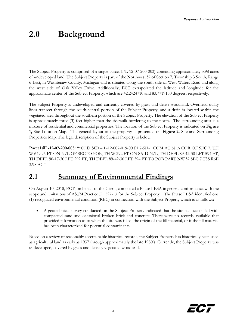## <span id="page-6-0"></span>**2.0 Background**

The Subject Property is comprised of a single parcel (#L-12-07-200-003) containing approximately 3.98 acres of undeveloped land. The Subject Property is part of the Northwest ¼ of Section 7, Township 3 South, Range 6 East, in Washtenaw County, Michigan and is situated along the south side of West Waters Road and along the west side of Oak Valley Drive. Additionally, ECT extrapolated the latitude and longitude for the approximate center of the Subject Property, which are 42.2424710 and 83.7719150 degrees, respectively.

The Subject Property is undeveloped and currently covered by grass and dense woodland. Overhead utility lines transect through the south-central portion of the Subject Property, and a drain is located within the vegetated area throughout the southern portion of the Subject Property. The elevation of the Subject Property is approximately three (3) feet higher than the sidewalk bordering to the north. The surrounding area is a mixture of residential and commercial properties. The location of the Subject Property is indicated on **Figure 1,** Site Location Map. The general layout of the property is presented on **Figure 2,** Site and Surrounding Properties Map. The legal description of the Subject Property is below:

**Parcel #L-12-07-200-003:** "\*OLD SID – L-12-007-019-00 PI 7-5H-1 COM AT N ¼ COR OF SEC 7, TH W 649.95 FT ON N/L OF SECTO POB, TH W 292 FT ON SAID N/L, TH DEFL 89-42-30 LFT 594 FT, TH DEFL 90-17-30 LFT 292 FT, TH DEFL 89-42-30 LFT 594 FT TO POB PART NW ¼ SEC 7 T3S R6E 3.98 AC."

### <span id="page-6-1"></span>**2.1 Summary of Environmental Findings**

On August 10, 2018, ECT, on behalf of the Client, completed a Phase I ESA in general conformance with the scope and limitations of ASTM Practice E 1527-13 for the Subject Property. The Phase I ESA identified one (1) recognized environmental condition (REC) in connection with the Subject Property which is as follows:

 A geotechnical survey conducted on the Subject Property indicated that the site has been filled with compacted sand and occasional broken brick and concrete. There were no records available that provided information as to when the site was filled, the origin of the fill material, or if the fill material has been characterized for potential contaminants.

Based on a review of reasonably ascertainable historical records, the Subject Property has historically been used as agricultural land as early as 1937 through approximately the late 1980's. Currently, the Subject Property was undeveloped, covered by grass and densely vegetated woodland.

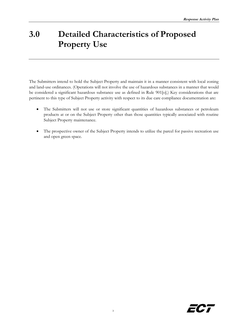# <span id="page-7-0"></span>**3.0 Detailed Characteristics of Proposed Property Use**

The Submitters intend to hold the Subject Property and maintain it in a manner consistent with local zoning and land-use ordinances. (Operations will not involve the use of hazardous substances in a manner that would be considered a significant hazardous substance use as defined in Rule 901[o].) Key considerations that are pertinent to this type of Subject Property activity with respect to its due care compliance documentation are:

- The Submitters will not use or store significant quantities of hazardous substances or petroleum products at or on the Subject Property other than those quantities typically associated with routine Subject Property maintenance.
- The prospective owner of the Subject Property intends to utilize the parcel for passive recreation use and open green space.

3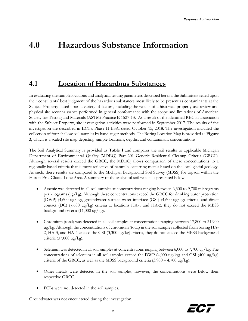## <span id="page-8-0"></span>**4.0 Hazardous Substance Information**

### <span id="page-8-1"></span>**4.1 Location of Hazardous Substances**

In evaluating the sample locations and analytical testing parameters described herein, the Submitters relied upon their consultants' best judgment of the hazardous substances most likely to be present as contaminants at the Subject Property based upon a variety of factors, including the results of a historical property use review and physical site reconnaissance performed in general conformance with the scope and limitations of American Society for Testing and Materials (ASTM) Practice E 1527-13. As a result of the identified REC in association with the Subject Property, site investigation activities were performed in September 2017. The results of the investigation are described in ECT's Phase II ESA, dated October 15, 2018. The investigation included the collection of four shallow soil samples by hand auger methods. The Boring Location Map is provided as **Figure 3**, which is a scaled site map depicting sample locations, depths, and contaminant concentrations*.*

The Soil Analytical Summary is provided as **Table 1** and compares the soil results to applicable Michigan Department of Environmental Quality (MDEQ) Part 201 Generic Residential Cleanup Criteria (GRCC). Although several results exceed the GRCC, the MDEQ allows comparison of these concentrations to a regionally based criteria that is more reflective of naturally occurring metals based on the local glacial geology. As such, these results are compared to the Michigan Background Soil Survey (MBSS) for topsoil within the Huron-Erie Glacial Lobe Area. A summary of the analytical soil results is presented below:

- Arsenic was detected in all soil samples at concentrations ranging between 6,300 to 9,700 micrograms per kilograms (ug/kg). Although these concentrations exceed the GRCC for drinking water protection (DWP) (4,600 ug/kg), groundwater surface water interface (GSI) (4,600 ug/kg) criteria, and direct contact (DC)  $(7,600 \text{ ug/kg})$  criteria at locations HA-1 and HA-2, they do not exceed the MBSS background criteria (11,000 ug/kg).
- Chromium (total) was detected in all soil samples at concentrations ranging between 17,800 to 21,900 ug/kg. Although the concentrations of chromium (total) in the soil samples collected from boring HA-2, HA-3, and HA-4 exceed the GSI (3,300 ug/kg) criteria, they do not exceed the MBSS background criteria (37,000 ug/kg).
- Selenium was detected in all soil samples at concentrations ranging between 6,000 to 7,700 ug/kg. The concentrations of selenium in all soil samples exceed the DWP  $(4,000 \text{ ug/kg})$  and GSI  $(400 \text{ ug/kg})$ criteria of the GRCC, as well as the MBSS background criteria (3,900 – 4,700 ug/kg).
- Other metals were detected in the soil samples; however, the concentrations were below their respective GRCC.
- PCBs were not detected in the soil samples.

Groundwater was not encountered during the investigation.

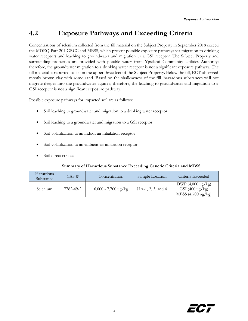## <span id="page-9-0"></span>**4.2 Exposure Pathways and Exceeding Criteria**

Concentrations of selenium collected from the fill material on the Subject Property in September 2018 exceed the MDEQ Part 201 GRCC and MBSS, which present possible exposure pathways via migration to drinking water receptors and leaching to groundwater and migration to a GSI receptor. The Subject Property and surrounding properties are provided with potable water from Ypsilanti Community Utilities Authority; therefore, the groundwater migration to a drinking water receptor is not a significant exposure pathway. The fill material is reported to lie on the upper three feet of the Subject Property. Below the fill, ECT observed mostly brown clay with some sand. Based on the shallowness of the fill, hazardous substances will not migrate deeper into the groundwater aquifer; therefore, the leaching to groundwater and migration to a GSI receptor is not a significant exposure pathway.

Possible exposure pathways for impacted soil are as follows:

- Soil leaching to groundwater and migration to a drinking water receptor
- Soil leaching to a groundwater and migration to a GSI receptor
- Soil volatilization to an indoor air inhalation receptor
- Soil volatilization to an ambient air inhalation receptor
- Soil direct contact

#### **Summary of Hazardous Substance Exceeding Generic Criteria and MBSS**

| Hazardous<br>Substance | $CAS \neq$ | Concentration         | Sample Location     | Criteria Exceeded                                                               |
|------------------------|------------|-----------------------|---------------------|---------------------------------------------------------------------------------|
| Selenium               | 7782-49-2  | $6,000 - 7,700$ ug/kg | $HA-1, 2, 3, and 4$ | $DWP(4,000 \text{ ug/kg})$<br>$GSI$ (400 ug/kg)<br>MBSS $(4,700 \text{ ug/kg})$ |

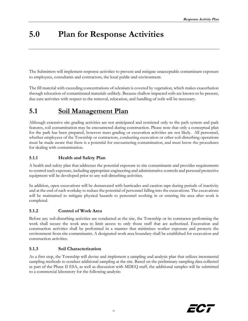# <span id="page-10-0"></span>**5.0 Plan for Response Activities**

The Submitters will implement response activities to prevent and mitigate unacceptable contaminant exposure to employees, consultants and contractors, the local public and environment.

The fill material with exceeding concentrations of selenium is covered by vegetation, which makes exacerbation through relocation of contaminated materials unlikely. Because shallow impacted soils are known to be present, due care activities with respect to the removal, relocation, and handling of soils will be necessary.

### <span id="page-10-1"></span>**5.1 Soil Management Plan**

Although extensive site grading activities are not anticipated and restricted only to the path system and park features, soil contamination may be encountered during construction. Please note that only a conceptual plan for the park has been prepared, however mass grading or excavation activities are not likely. All personnel, whether employees of the Township or contractors, conducting excavation or other soil-disturbing operations must be made aware that there is a potential for encountering contamination, and must know the procedures for dealing with contamination.

#### <span id="page-10-2"></span>**5.1.1 Health and Safety Plan**

A health and safety plan that addresses the potential exposure to site contaminants and provides requirements to control such exposure, including appropriate engineering and administrative controls and personal protective equipment will be developed prior to any soil-disturbing activities.

In addition, open excavations will be demarcated with barricades and caution tape during periods of inactivity and at the end of each workday to reduce the potential of personnel falling into the excavations. The excavations will be maintained to mitigate physical hazards to personnel working in or entering the area after work is completed.

#### <span id="page-10-3"></span>**5.1.2 Control of Work Area**

Before any soil-disturbing activities are conducted at the site, the Township or its contractor performing the work shall secure the work area to limit access to only those staff that are authorized. Excavation and construction activities shall be performed in a manner that minimizes worker exposure and protects the environment from site contaminants. A designated work area boundary shall be established for excavation and construction activities.

#### <span id="page-10-4"></span>**5.1.3 Soil Characterization**

As a first step, the Township will devise and implement a sampling and analysis plan that utilizes incremental sampling methods to conduct additional sampling at the site. Based on the preliminary sampling data collected as part of the Phase II ESA, as well as discussion with MDEQ staff, the additional samples will be submitted to a commercial laboratory for the following analysis:

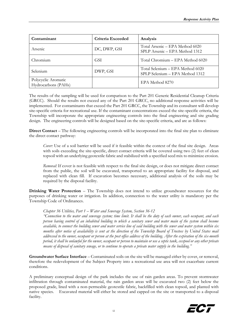| Contaminant                                | Criteria Exceeded | Analysis                                                            |
|--------------------------------------------|-------------------|---------------------------------------------------------------------|
| Arsenic                                    | DC, DWP, GSI      | Total Arsenic - EPA Method 6020<br>SPLP Arsenic - EPA Method 1312   |
| Chromium                                   | <b>GSI</b>        | Total Chromium – EPA Method 6020                                    |
| Selenium                                   | DWP, GSI          | Total Selenium - EPA Method 6020<br>SPLP Selenium - EPA Method 1312 |
| Polycyclic Aromatic<br>Hydrocarbons (PAHs) |                   | EPA Method 8270                                                     |

The results of the sampling will be used for comparison to the Part 201 Generic Residential Cleanup Criteria (GRCC). Should the results not exceed any of the Part 201 GRCC, no additional response activities will be implemented. For contaminants that exceed the Part 201 GRCC, the Township and its consultant will develop site-specific criteria for recreational use. If the contaminant concentrations exceed the site-specific criteria, the Township will incorporate the appropriate engineering controls into the final engineering and site grading design. The engineering controls will be designed based on the site-specific criteria, and are as follows:

**Direct Contact** – The following engineering controls will be incorporated into the final site plan to eliminate the direct contact pathway:

*Cover:* Use of a soil barrier will be used if it feasible within the context of the final site design. Areas with soils exceeding the site-specific, direct contact criteria will be covered using two (2) feet of clean topsoil with an underlying geotextile fabric and stabilized with a specified seed mix to minimize erosion.

*Removal:* If cover is not feasible with respect to the final site design, or does not mitigate direct contact from the public, the soil will be excavated, transported to an appropriate facility for disposal, and replaced with clean fill. If excavation becomes necessary, additional analysis of the soils may be required by the disposal facility.

**Drinking Water Protection** – The Township does not intend to utilize groundwater resources for the purposes of drinking water or irrigation. In addition, connection to the water utility is mandatory per the Township Code of Ordinances.

#### *Chapter 36 Utilities, Part 1 – Water and Sewerage System, Section 36-12*

*"Connection to the water and sewerage system; time limit. It shall be the duty of each owner, each occupant, and each person having control of an inhabited building to which a sanitary sewer and water main of the system shall become available, to connect the building sewer and water service line of said building with the sewer and water system within six months after notice of availability is sent at the direction of the Township Board of Trustees by United States mail addressed to the owner, occupant or person at the post office address of the building. After the expiration of the six-month period, it shall be unlawful for the owner, occupant or person to maintain or use a septic tank, cesspool or any other private means of disposal of sanitary sewage, or to continue to operate a private water supply in the building."*

**Groundwater Surface Interface** – Contaminated soils on the site will be managed either by cover, or removal, therefore the redevelopment of the Subject Property into a recreational use area will not exacerbate current conditions.

A preliminary conceptual design of the park includes the use of rain garden areas. To prevent stormwater infiltration through contaminated material, the rain garden areas will be excavated two (2) feet below the proposed grade, lined with a non-permeable geotextile fabric, backfilled with clean topsoil, and planted with native species. Excavated material will either be stored and capped on the site or transported to a disposal facility.

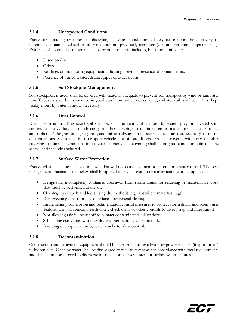#### <span id="page-12-0"></span>**5.1.4 Unexpected Conditions**

Excavation, grading or other soil-disturbing activities should immediately cease upon the discovery of potentially contaminated soil or other materials not previously identified (e.g., underground sumps or tanks). Evidence of potentially contaminated soil or other material includes, but is not limited to:

- Discolored soil;
- Odors;
- Readings on monitoring equipment indicating potential presence of contaminants;
- Presence of buried wastes, drums, pipes or other debris

#### <span id="page-12-1"></span>**5.1.5 Soil Stockpile Management**

Soil stockpiles, if used, shall be covered with material adequate to prevent soil transport by wind or rainwater runoff. Covers shall be maintained in good condition. When not covered, soil stockpile surfaces will be kept visibly moist by water spray, as necessary.

#### <span id="page-12-2"></span>**5.1.6 Dust Control**

During excavation, all exposed soil surfaces shall be kept visibly moist by water spray or covered with continuous heavy-duty plastic sheeting or other covering to minimize emissions of particulates into the atmosphere. Parking areas, staging areas, and traffic pathways on the site shall be cleaned as necessary to control dust emissions. Soil loaded into transport vehicles for off-site disposal shall be covered with tarps or other covering to minimize emissions into the atmosphere. The covering shall be in good condition, joined at the seams, and securely anchored.

#### <span id="page-12-3"></span>**5.1.7 Surface Water Protection**

Excavated soil shall be managed in a way that will not cause sediment to enter storm water runoff. The best management practices listed below shall be applied to any excavation or construction work as applicable.

- Designating a completely contained area away from storm drains for refueling or maintenance work that must be performed at the site.
- Cleaning up all spills and leaks using dry methods (e.g., absorbent materials, rags).
- Dry-sweeping dirt from paved surfaces, for general cleanup.
- Implementing soil erosion and sedimentation control measures to protect storm drains and open water features using silt fencing, earth dikes, check dams or other controls to divert, trap and filter runoff.
- Not allowing rainfall or runoff to contact contaminated soil or debris.
- Scheduling excavation work for dry-weather periods, when possible.
- Avoiding over-application by water trucks for dust control.

#### <span id="page-12-4"></span>**5.1.8 Decontamination**

Construction and excavation equipment should be performed using a brush or power washers (if appropriate) to loosen dirt. Cleaning water shall be discharged to the sanitary sewer in accordance with local requirements and shall be not be allowed to discharge into the storm sewer system or surface water features.

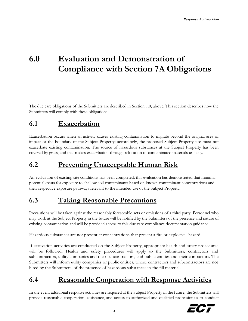# <span id="page-13-0"></span>**6.0 Evaluation and Demonstration of Compliance with Section 7A Obligations**

The due care obligations of the Submitters are described in Section 1.0, above. This section describes how the Submitters will comply with these obligations.

## <span id="page-13-1"></span>**6.1 Exacerbation**

Exacerbation occurs when an activity causes existing contamination to migrate beyond the original area of impact or the boundary of the Subject Property; accordingly, the proposed Subject Property use must not exacerbate existing contamination. The source of hazardous substances at the Subject Property has been covered by grass, and that makes exacerbation through relocation of contaminated materials unlikely.

## <span id="page-13-2"></span>**6.2 Preventing Unacceptable Human Risk**

An evaluation of existing site conditions has been completed; this evaluation has demonstrated that minimal potential exists for exposure to shallow soil contaminants based on known contaminant concentrations and their respective exposure pathways relevant to the intended use of the Subject Property.

## <span id="page-13-3"></span>**6.3 Taking Reasonable Precautions**

Precautions will be taken against the reasonably foreseeable acts or omissions of a third party. Personnel who may work at the Subject Property in the future will be notified by the Submitters of the presence and nature of existing contamination and will be provided access to this due care compliance documentation guidance.

Hazardous substances are not present at concentrations that present a fire or explosive hazard.

If excavation activities are conducted on the Subject Property, appropriate health and safety procedures will be followed. Health and safety procedures will apply to the Submitters, contractors and subcontractors, utility companies and their subcontractors, and public entities and their contractors. The Submitters will inform utility companies or public entities, whose contractors and subcontractors are not hired by the Submitters, of the presence of hazardous substances in the fill material.

## <span id="page-13-4"></span>**6.4 Reasonable Cooperation with Response Activities**

In the event additional response activities are required at the Subject Property in the future, the Submitters will provide reasonable cooperation, assistance, and access to authorized and qualified professionals to conduct

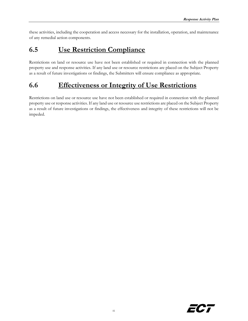these activities, including the cooperation and access necessary for the installation, operation, and maintenance of any remedial action components.

## <span id="page-14-0"></span>**6.5 Use Restriction Compliance**

Restrictions on land or resource use have not been established or required in connection with the planned property use and response activities. If any land use or resource restrictions are placed on the Subject Property as a result of future investigations or findings, the Submitters will ensure compliance as appropriate.

## <span id="page-14-1"></span>**6.6 Effectiveness or Integrity of Use Restrictions**

Restrictions on land use or resource use have not been established or required in connection with the planned property use or response activities. If any land use or resource use restrictions are placed on the Subject Property as a result of future investigations or findings, the effectiveness and integrity of these restrictions will not be impeded.

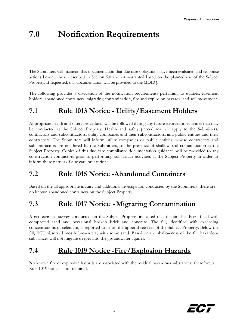# <span id="page-15-0"></span>**7.0 Notification Requirements**

The Submitters will maintain this documentation that due care obligations have been evaluated and response actions beyond those described in Section 5.0 are not warranted based on the planned use of the Subject Property. If requested, this documentation will be provided to the MDEQ.

The following provides a discussion of the notification requirements pertaining to utilities, easement holders, abandoned containers, migrating contamination, fire and explosion hazards, and soil movement.

## <span id="page-15-1"></span>**7.1 Rule 1013 Notice - Utility/Easement Holders**

Appropriate health and safety procedures will be followed during any future excavation activities that may be conducted at the Subject Property. Health and safety procedures will apply to the Submitters, contractors and subcontractors, utility companies and their subcontractors, and public entities and their contractors. The Submitters will inform utility companies or public entities, whose contractors and subcontractors are not hired by the Submitters, of the presence of shallow soil contamination at the Subject Property. Copies of this due care compliance documentation guidance will be provided to any construction contractors prior to performing subsurface activities at the Subject Property in order to inform these parties of due care precautions.

### <span id="page-15-2"></span>**7.2 Rule 1015 Notice -Abandoned Containers**

Based on the all appropriate inquiry and additional investigation conducted by the Submitters, there are no known abandoned containers on the Subject Property.

### <span id="page-15-3"></span>**7.3 Rule 1017 Notice - Migrating Contamination**

A geotechnical survey conducted on the Subject Property indicated that the site has been filled with compacted sand and occasional broken brick and concrete. The fill, identified with exceeding concentrations of selenium, is reported to lie on the upper three feet of the Subject Property. Below the fill, ECT observed mostly brown clay with some sand. Based on the shallowness of the fill, hazardous substances will not migrate deeper into the groundwater aquifer.

## <span id="page-15-4"></span>**7.4 Rule 1019 Notice -Fire/Explosion Hazards**

No known fire or explosion hazards are associated with the residual hazardous substances; therefore, a Rule 1019 notice is not required.

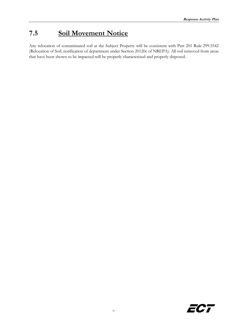## <span id="page-16-0"></span>**7.5 Soil Movement Notice**

Any relocation of contaminated soil at the Subject Property will be consistent with Part 201 Rule 299.5542 (Relocation of Soil; notification of department under Section 20120c of NREPA). All soil removed from areas that have been shown to be impacted will be properly characterized and properly disposed.

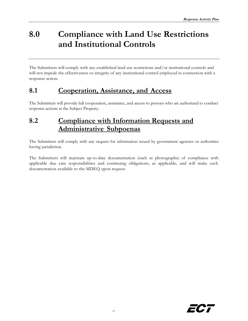# <span id="page-17-0"></span>**8.0 Compliance with Land Use Restrictions and Institutional Controls**

The Submitters will comply with any established land use restrictions and/or institutional controls and will not impede the effectiveness or integrity of any institutional control employed in connection with a response action.

### <span id="page-17-1"></span>**8.1 Cooperation, Assistance, and Access**

The Submitters will provide full cooperation, assistance, and access to persons who are authorized to conduct response actions at the Subject Property.

## <span id="page-17-2"></span>**8.2 Compliance with Information Requests and Administrative Subpoenas**

The Submitters will comply with any request for information issued by government agencies or authorities having jurisdiction.

The Submitters will maintain up-to-date documentation (such as photographs) of compliance with applicable due care responsibilities and continuing obligations, as applicable, and will make such documentation available to the MDEQ upon request.

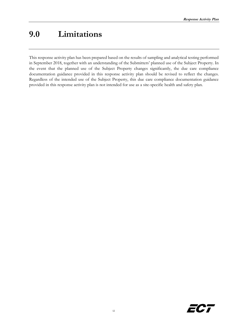## <span id="page-18-0"></span>**9.0 Limitations**

This response activity plan has been prepared based on the results of sampling and analytical testing performed in September 2018, together with an understanding of the Submitters' planned use of the Subject Property. In the event that the planned use of the Subject Property changes significantly, the due care compliance documentation guidance provided in this response activity plan should be revised to reflect the changes. Regardless of the intended use of the Subject Property, this due care compliance documentation guidance provided in this response activity plan is not intended for use as a site-specific health and safety plan.